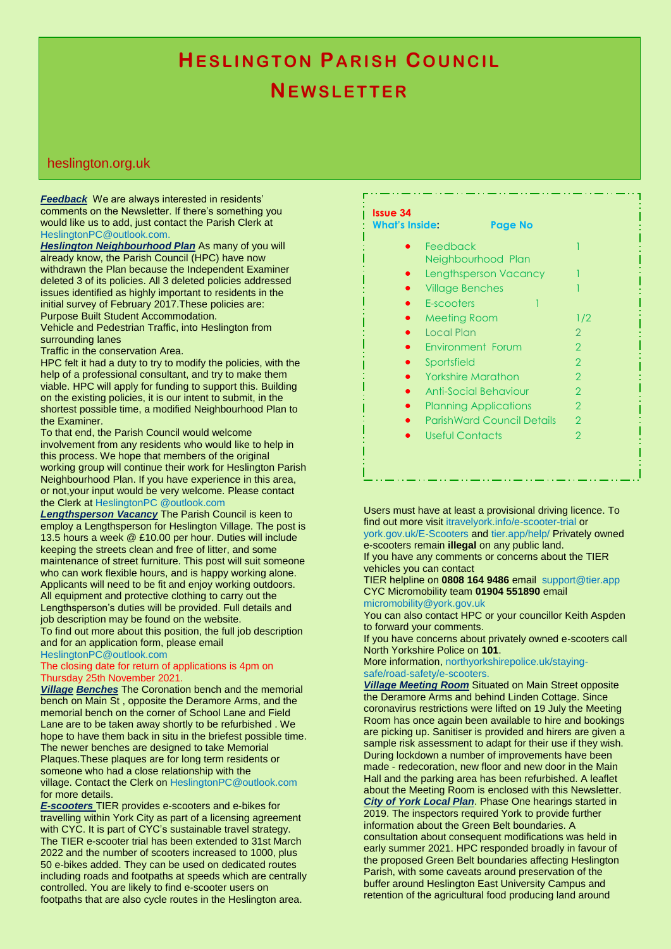# **HESLINGTON PARISH COUNCIL NE W S L E T T E R**

### heslington.org.uk

*Feedback* We are always interested in residents' comments on the Newsletter. If there's something you would like us to add, just contact the Parish Clerk at HeslingtonPC@outlook.com.

*Heslington Neighbourhood Plan* As many of you will already know, the Parish Council (HPC) have now withdrawn the Plan because the Independent Examiner deleted 3 of its policies. All 3 deleted policies addressed issues identified as highly important to residents in the initial survey of February 2017.These policies are: Purpose Built Student Accommodation.

Vehicle and Pedestrian Traffic, into Heslington from surrounding lanes

Traffic in the conservation Area.

HPC felt it had a duty to try to modify the policies, with the help of a professional consultant, and try to make them viable. HPC will apply for funding to support this. Building on the existing policies, it is our intent to submit, in the shortest possible time, a modified Neighbourhood Plan to the Examiner.

To that end, the Parish Council would welcome involvement from any residents who would like to help in this process. We hope that members of the original working group will continue their work for Heslington Parish Neighbourhood Plan. If you have experience in this area, or not,your input would be very welcome. Please contact the Clerk at HeslingtonPC @outlook.com

*Lengthsperson Vacancy* The Parish Council is keen to employ a Lengthsperson for Heslington Village. The post is 13.5 hours a week @ £10.00 per hour. Duties will include keeping the streets clean and free of litter, and some maintenance of street furniture. This post will suit someone who can work flexible hours, and is happy working alone. Applicants will need to be fit and enjoy working outdoors. All equipment and protective clothing to carry out the Lengthsperson's duties will be provided. Full details and job description may be found on the website.

To find out more about this position, the full job description and for an application form, please email

HeslingtonPC@outlook.com

#### The closing date for return of applications is 4pm on Thursday 25th November 2021.

*Village Benches* The Coronation bench and the memorial bench on Main St , opposite the Deramore Arms, and the memorial bench on the corner of School Lane and Field Lane are to be taken away shortly to be refurbished . We hope to have them back in situ in the briefest possible time. The newer benches are designed to take Memorial Plaques.These plaques are for long term residents or someone who had a close relationship with the village. Contact the Clerk on HeslingtonPC@outlook.com

for more details. *E-scooters* TIER provides e-scooters and e-bikes for

travelling within York City as part of a licensing agreement with CYC. It is part of CYC's sustainable travel strategy. The TIER e-scooter trial has been extended to 31st March 2022 and the number of scooters increased to 1000, plus 50 e-bikes added. They can be used on dedicated routes including roads and footpaths at speeds which are centrally controlled. You are likely to find e-scooter users on footpaths that are also cycle routes in the Heslington area.

## **Issue 34**

## **What's Inside: Page No Feedback**

Neighbourhood Plan Lengthsperson Vacancy Village Benches 1999 1999 E-scooters Meeting Room 1/2 Local Plan 2 2 Environment Forum 2 • Sportsfield 2 Yorkshire Marathon 2 Anti-Social Behaviour 2 Planning Applications 2 ParishWard Council Details 2 Useful Contacts 2

Users must have at least a provisional driving licence. To find out more visit itravelyork.info/e-scooter-trial or york.gov.uk/E-Scooters and tier.app/help/ Privately owned e-scooters remain **illegal** on any public land.

If you have any comments or concerns about the TIER vehicles you can contact

TIER helpline on **0808 164 9486** email support@tier.app CYC Micromobility team **01904 551890** email micromobility@york.gov.uk

You can also contact HPC or your councillor Keith Aspden to forward your comments.

If you have concerns about privately owned e-scooters call North Yorkshire Police on **101**.

More information, northyorkshirepolice.uk/stayingsafe/road-safety/e-scooters.

*Village Meeting Room* Situated on Main Street opposite the Deramore Arms and behind Linden Cottage. Since coronavirus restrictions were lifted on 19 July the Meeting Room has once again been available to hire and bookings are picking up. Sanitiser is provided and hirers are given a sample risk assessment to adapt for their use if they wish. During lockdown a number of improvements have been made - redecoration, new floor and new door in the Main Hall and the parking area has been refurbished. A leaflet about the Meeting Room is enclosed with this Newsletter. *City of York Local Plan*. Phase One hearings started in 2019. The inspectors required York to provide further information about the Green Belt boundaries. A consultation about consequent modifications was held in early summer 2021. HPC responded broadly in favour of the proposed Green Belt boundaries affecting Heslington Parish, with some caveats around preservation of the buffer around Heslington East University Campus and retention of the agricultural food producing land around